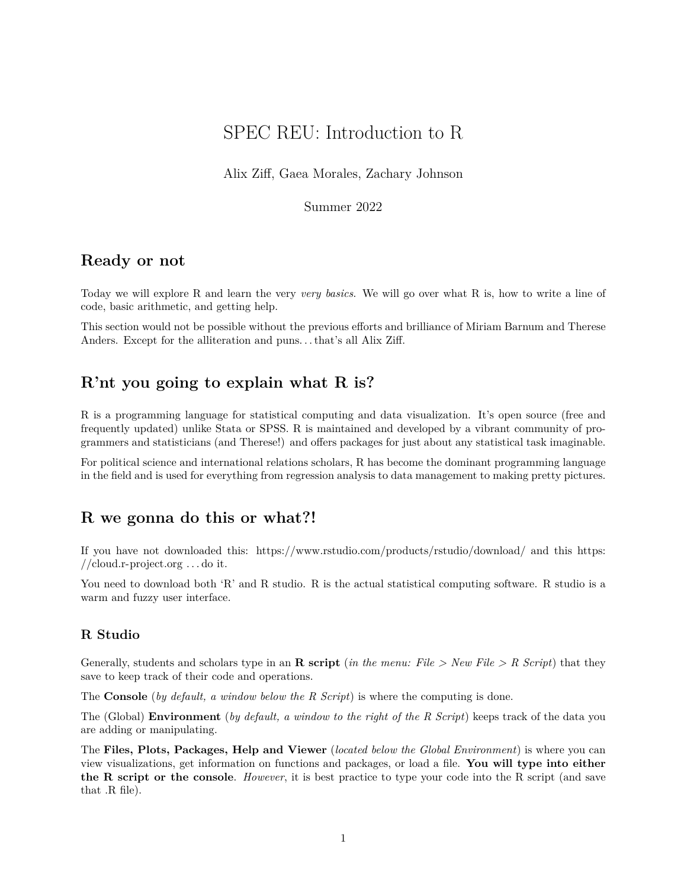# SPEC REU: Introduction to R

Alix Ziff, Gaea Morales, Zachary Johnson

Summer 2022

### **Ready or not**

Today we will explore R and learn the very *very basics*. We will go over what R is, how to write a line of code, basic arithmetic, and getting help.

This section would not be possible without the previous efforts and brilliance of Miriam Barnum and Therese Anders. Except for the alliteration and puns. . . that's all Alix Ziff.

## **R'nt you going to explain what R is?**

R is a programming language for statistical computing and data visualization. It's open source (free and frequently updated) unlike Stata or SPSS. R is maintained and developed by a vibrant community of programmers and statisticians (and Therese!) and offers packages for just about any statistical task imaginable.

For political science and international relations scholars, R has become the dominant programming language in the field and is used for everything from regression analysis to data management to making pretty pictures.

## **R we gonna do this or what?!**

If you have not downloaded this:<https://www.rstudio.com/products/rstudio/download/> and this [https:](https://cloud.r-project.org) [//cloud.r-project.org](https://cloud.r-project.org) . . . do it.

You need to download both 'R' and R studio. R is the actual statistical computing software. R studio is a warm and fuzzy user interface.

#### **R Studio**

Generally, students and scholars type in an **R script** (*in the menu: File > New File > R Script*) that they save to keep track of their code and operations.

The **Console** (*by default, a window below the R Script*) is where the computing is done.

The (Global) **Environment** (*by default, a window to the right of the R Script*) keeps track of the data you are adding or manipulating.

The **Files, Plots, Packages, Help and Viewer** (*located below the Global Environment*) is where you can view visualizations, get information on functions and packages, or load a file. **You will type into either the R script or the console**. *However*, it is best practice to type your code into the R script (and save that .R file).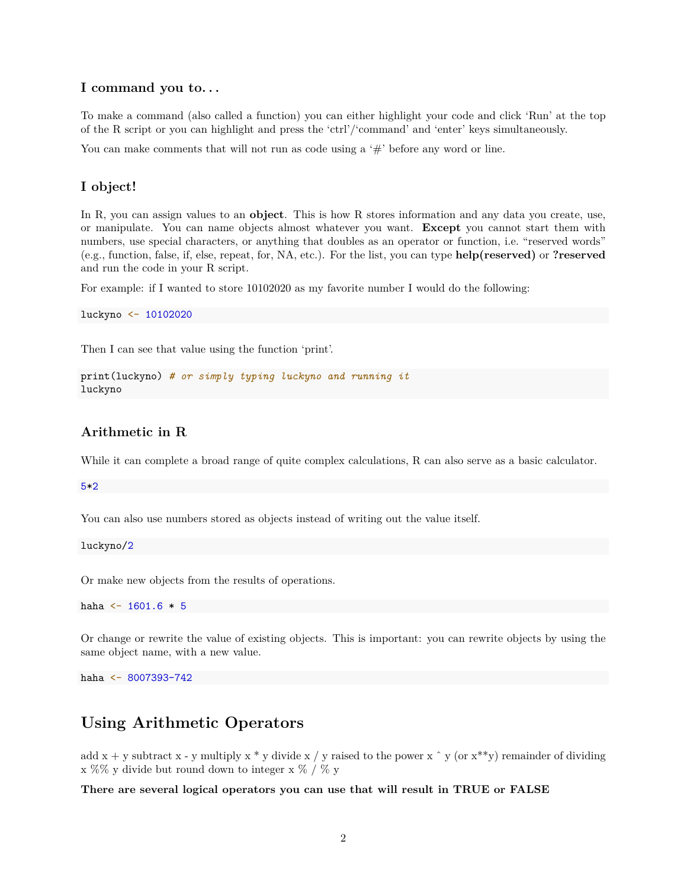#### **I command you to. . .**

To make a command (also called a function) you can either highlight your code and click 'Run' at the top of the R script or you can highlight and press the 'ctrl'/'command' and 'enter' keys simultaneously.

You can make comments that will not run as code using a  $#$  before any word or line.

#### **I object!**

In R, you can assign values to an **object**. This is how R stores information and any data you create, use, or manipulate. You can name objects almost whatever you want. **Except** you cannot start them with numbers, use special characters, or anything that doubles as an operator or function, i.e. "reserved words" (e.g., function, false, if, else, repeat, for, NA, etc.). For the list, you can type **help(reserved)** or **?reserved** and run the code in your R script.

For example: if I wanted to store 10102020 as my favorite number I would do the following:

luckyno <- 10102020

Then I can see that value using the function 'print'.

```
print(luckyno) # or simply typing luckyno and running it
luckyno
```
#### **Arithmetic in R**

While it can complete a broad range of quite complex calculations, R can also serve as a basic calculator.

5\*2

You can also use numbers stored as objects instead of writing out the value itself.

luckyno/2

Or make new objects from the results of operations.

haha  $<-1601.6*5$ 

Or change or rewrite the value of existing objects. This is important: you can rewrite objects by using the same object name, with a new value.

haha <- 8007393-742

### **Using Arithmetic Operators**

add x + y subtract x - y multiply x  $*$  y divide x / y raised to the power x  $\hat{ }$  y (or x $*$ y) remainder of dividing x %% y divide but round down to integer x % / % y

**There are several logical operators you can use that will result in TRUE or FALSE**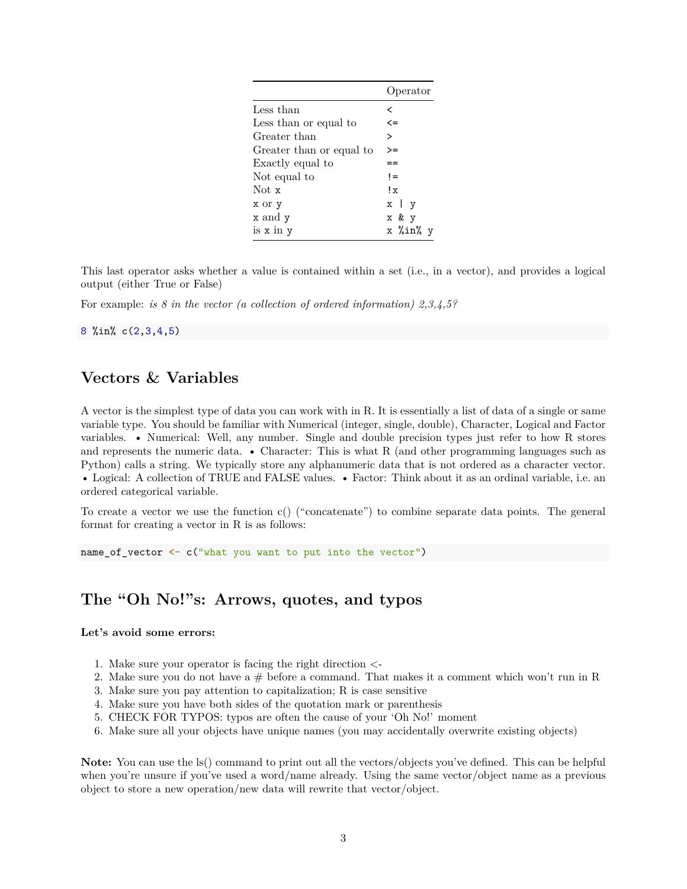|                          | Operator            |
|--------------------------|---------------------|
| Less than                | <                   |
| Less than or equal to    | $\leq$              |
| Greater than             | ゝ                   |
| Greater than or equal to | >=                  |
| Exactly equal to         |                     |
| Not equal to             | $!=$                |
| Not x                    | $\mathbf{I} \times$ |
| x or y                   | $x \mid y$          |
| x and y                  | x & y               |
| is x in y                | x %in% y            |

This last operator asks whether a value is contained within a set (i.e., in a vector), and provides a logical output (either True or False)

For example: *is 8 in the vector (a collection of ordered information) 2,3,4,5?*

8 %in% c(2,3,4,5)

## **Vectors & Variables**

A vector is the simplest type of data you can work with in R. It is essentially a list of data of a single or same variable type. You should be familiar with Numerical (integer, single, double), Character, Logical and Factor variables. • Numerical: Well, any number. Single and double precision types just refer to how R stores and represents the numeric data. • Character: This is what R (and other programming languages such as Python) calls a string. We typically store any alphanumeric data that is not ordered as a character vector. • Logical: A collection of TRUE and FALSE values. • Factor: Think about it as an ordinal variable, i.e. an ordered categorical variable.

To create a vector we use the function c() ("concatenate") to combine separate data points. The general format for creating a vector in R is as follows:

name\_of\_vector <- c("what you want to put into the vector")

## **The "Oh No!"s: Arrows, quotes, and typos**

#### **Let's avoid some errors:**

- 1. Make sure your operator is facing the right direction <-
- 2. Make sure you do not have a  $#$  before a command. That makes it a comment which won't run in R
- 3. Make sure you pay attention to capitalization; R is case sensitive
- 4. Make sure you have both sides of the quotation mark or parenthesis
- 5. CHECK FOR TYPOS: typos are often the cause of your 'Oh No!' moment
- 6. Make sure all your objects have unique names (you may accidentally overwrite existing objects)

**Note:** You can use the ls() command to print out all the vectors/objects you've defined. This can be helpful when you're unsure if you've used a word/name already. Using the same vector/object name as a previous object to store a new operation/new data will rewrite that vector/object.